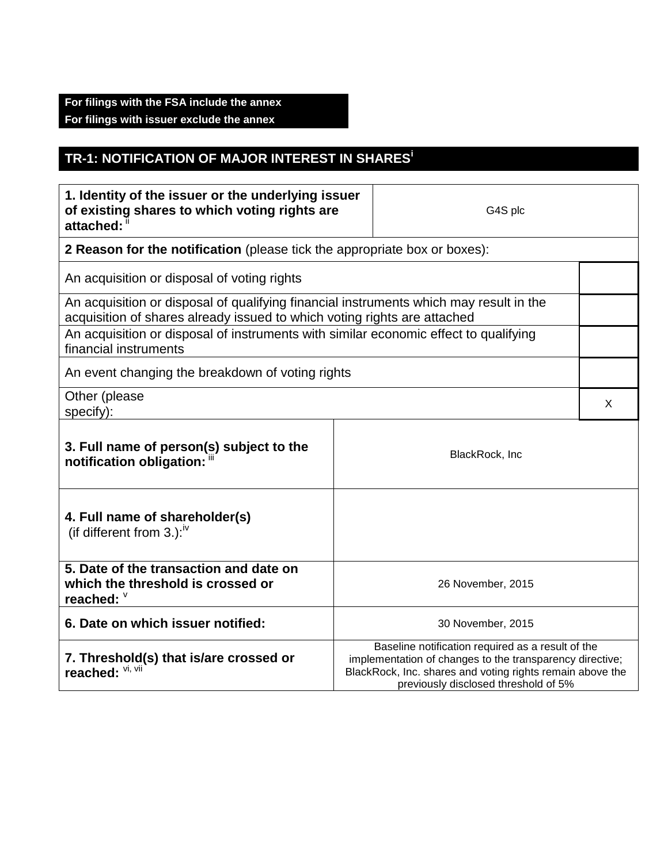## **For filings with the FSA include the annex For filings with issuer exclude the annex**

## **TR-1: NOTIFICATION OF MAJOR INTEREST IN SHARES<sup>i</sup>**

| 1. Identity of the issuer or the underlying issuer<br>of existing shares to which voting rights are<br>attached:                                                   |                                                                                                                                                                                                                    | G4S plc           |   |  |
|--------------------------------------------------------------------------------------------------------------------------------------------------------------------|--------------------------------------------------------------------------------------------------------------------------------------------------------------------------------------------------------------------|-------------------|---|--|
| 2 Reason for the notification (please tick the appropriate box or boxes):                                                                                          |                                                                                                                                                                                                                    |                   |   |  |
| An acquisition or disposal of voting rights                                                                                                                        |                                                                                                                                                                                                                    |                   |   |  |
| An acquisition or disposal of qualifying financial instruments which may result in the<br>acquisition of shares already issued to which voting rights are attached |                                                                                                                                                                                                                    |                   |   |  |
| An acquisition or disposal of instruments with similar economic effect to qualifying<br>financial instruments                                                      |                                                                                                                                                                                                                    |                   |   |  |
| An event changing the breakdown of voting rights                                                                                                                   |                                                                                                                                                                                                                    |                   |   |  |
| Other (please<br>specify):                                                                                                                                         |                                                                                                                                                                                                                    |                   | X |  |
| 3. Full name of person(s) subject to the<br>notification obligation:                                                                                               | BlackRock, Inc                                                                                                                                                                                                     |                   |   |  |
| 4. Full name of shareholder(s)<br>(if different from 3.): $\sqrt{v}$                                                                                               |                                                                                                                                                                                                                    |                   |   |  |
| 5. Date of the transaction and date on<br>which the threshold is crossed or<br>reached: V                                                                          |                                                                                                                                                                                                                    | 26 November, 2015 |   |  |
| 6. Date on which issuer notified:                                                                                                                                  | 30 November, 2015                                                                                                                                                                                                  |                   |   |  |
| 7. Threshold(s) that is/are crossed or<br>reached:                                                                                                                 | Baseline notification required as a result of the<br>implementation of changes to the transparency directive;<br>BlackRock, Inc. shares and voting rights remain above the<br>previously disclosed threshold of 5% |                   |   |  |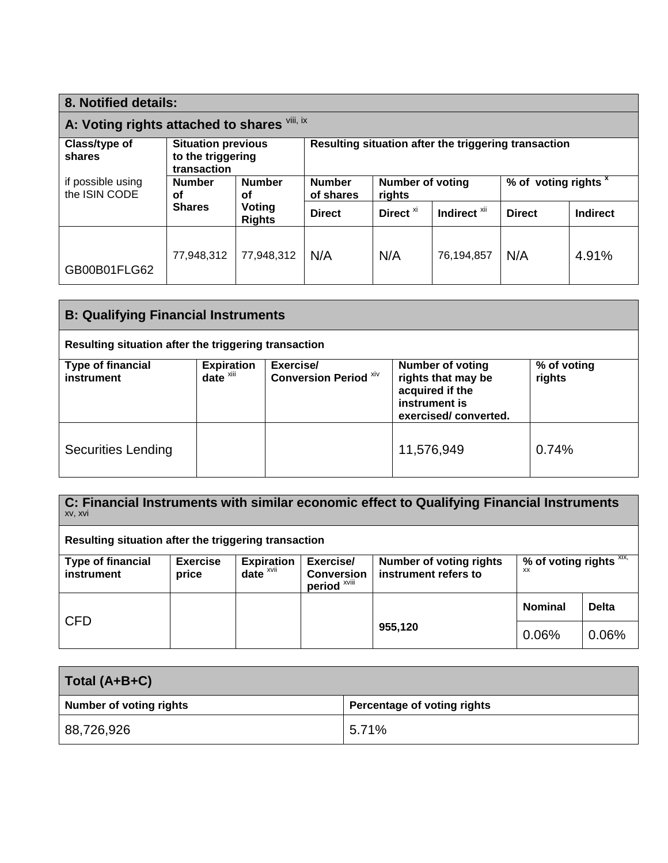| 8. Notified details:                         |                     |                                                                                                        |                                                                 |                      |                         |               |                                 |  |
|----------------------------------------------|---------------------|--------------------------------------------------------------------------------------------------------|-----------------------------------------------------------------|----------------------|-------------------------|---------------|---------------------------------|--|
| A: Voting rights attached to shares Vili, ix |                     |                                                                                                        |                                                                 |                      |                         |               |                                 |  |
| Class/type of<br>shares                      | transaction         | Resulting situation after the triggering transaction<br><b>Situation previous</b><br>to the triggering |                                                                 |                      |                         |               |                                 |  |
| if possible using<br>the ISIN CODE           | <b>Number</b><br>οf | <b>Number</b><br>οf                                                                                    | <b>Number of voting</b><br><b>Number</b><br>of shares<br>rights |                      |                         |               | % of voting rights <sup>x</sup> |  |
|                                              | <b>Shares</b>       | Voting<br><b>Rights</b>                                                                                | <b>Direct</b>                                                   | Direct <sup>xi</sup> | Indirect <sup>xii</sup> | <b>Direct</b> | <b>Indirect</b>                 |  |
| GB00B01FLG62                                 | 77,948,312          | 77,948,312                                                                                             | N/A                                                             | N/A                  | 76,194,857              | N/A           | 4.91%                           |  |

| <b>B: Qualifying Financial Instruments</b>           |                                                                     |                                           |                                                                                                           |                       |  |
|------------------------------------------------------|---------------------------------------------------------------------|-------------------------------------------|-----------------------------------------------------------------------------------------------------------|-----------------------|--|
| Resulting situation after the triggering transaction |                                                                     |                                           |                                                                                                           |                       |  |
| <b>Type of financial</b><br>instrument               | <b>Expiration</b><br>date $\overline{\phantom{a}}^{\phantom{\ast}}$ | Exercise/<br><b>Conversion Period Xiv</b> | <b>Number of voting</b><br>rights that may be<br>acquired if the<br>instrument is<br>exercised/converted. | % of voting<br>rights |  |
| <b>Securities Lending</b>                            |                                                                     |                                           | 11,576,949                                                                                                | 0.74%                 |  |

| C: Financial Instruments with similar economic effect to Qualifying Financial Instruments<br>XV, XVI |                          |                                      |                                |                                                        |                               |              |
|------------------------------------------------------------------------------------------------------|--------------------------|--------------------------------------|--------------------------------|--------------------------------------------------------|-------------------------------|--------------|
| Resulting situation after the triggering transaction                                                 |                          |                                      |                                |                                                        |                               |              |
| <b>Type of financial</b><br>instrument                                                               | <b>Exercise</b><br>price | <b>Expiration</b><br>$date^{\times}$ | Exercise/<br><b>Conversion</b> | <b>Number of voting rights</b><br>instrument refers to | % of voting rights XIX,<br>ХX |              |
|                                                                                                      |                          |                                      | period <sup>xviii</sup>        |                                                        |                               |              |
| <b>CFD</b>                                                                                           |                          |                                      |                                |                                                        | <b>Nominal</b>                | <b>Delta</b> |
|                                                                                                      |                          |                                      |                                | 955,120                                                | 0.06%                         | 0.06%        |

| Total (A+B+C)                  |                             |
|--------------------------------|-----------------------------|
| <b>Number of voting rights</b> | Percentage of voting rights |
| 88,726,926                     | 5.71%                       |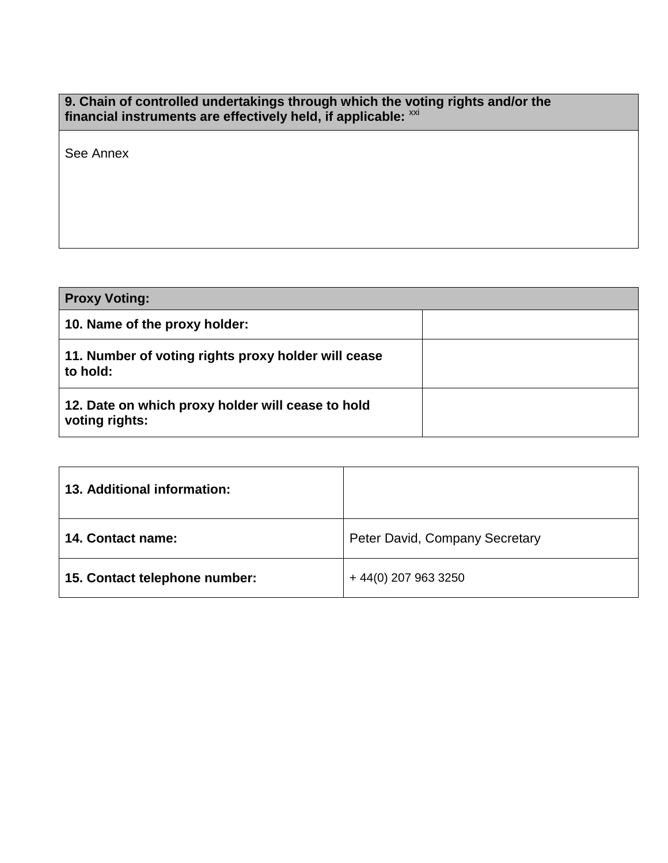## **9. Chain of controlled undertakings through which the voting rights and/or the** financial instruments are effectively held, if applicable: <sup>xxi</sup>

See Annex

| <b>Proxy Voting:</b>                                                |  |
|---------------------------------------------------------------------|--|
| 10. Name of the proxy holder:                                       |  |
| 11. Number of voting rights proxy holder will cease<br>to hold:     |  |
| 12. Date on which proxy holder will cease to hold<br>voting rights: |  |

| 13. Additional information:   |                                |
|-------------------------------|--------------------------------|
| 14. Contact name:             | Peter David, Company Secretary |
| 15. Contact telephone number: | $+44(0)$ 207 963 3250          |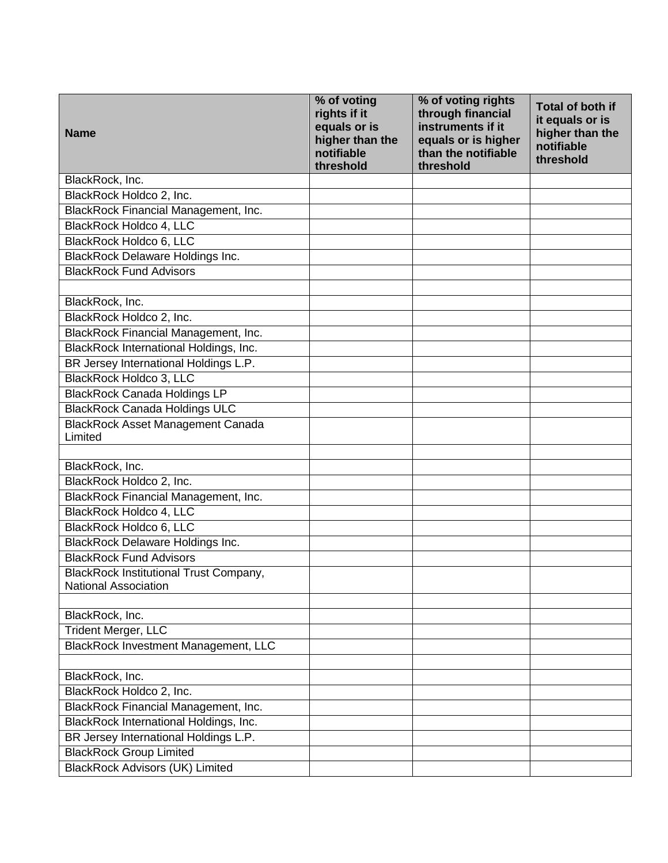| <b>Name</b>                                                                  | % of voting<br>rights if it<br>equals or is<br>higher than the<br>notifiable<br>threshold | % of voting rights<br>through financial<br>instruments if it<br>equals or is higher<br>than the notifiable<br>threshold | <b>Total of both if</b><br>it equals or is<br>higher than the<br>notifiable<br>threshold |
|------------------------------------------------------------------------------|-------------------------------------------------------------------------------------------|-------------------------------------------------------------------------------------------------------------------------|------------------------------------------------------------------------------------------|
| BlackRock, Inc.                                                              |                                                                                           |                                                                                                                         |                                                                                          |
| BlackRock Holdco 2, Inc.                                                     |                                                                                           |                                                                                                                         |                                                                                          |
| BlackRock Financial Management, Inc.                                         |                                                                                           |                                                                                                                         |                                                                                          |
| BlackRock Holdco 4, LLC                                                      |                                                                                           |                                                                                                                         |                                                                                          |
| BlackRock Holdco 6, LLC                                                      |                                                                                           |                                                                                                                         |                                                                                          |
| <b>BlackRock Delaware Holdings Inc.</b>                                      |                                                                                           |                                                                                                                         |                                                                                          |
| <b>BlackRock Fund Advisors</b>                                               |                                                                                           |                                                                                                                         |                                                                                          |
|                                                                              |                                                                                           |                                                                                                                         |                                                                                          |
| BlackRock, Inc.                                                              |                                                                                           |                                                                                                                         |                                                                                          |
| BlackRock Holdco 2, Inc.                                                     |                                                                                           |                                                                                                                         |                                                                                          |
| BlackRock Financial Management, Inc.                                         |                                                                                           |                                                                                                                         |                                                                                          |
| BlackRock International Holdings, Inc.                                       |                                                                                           |                                                                                                                         |                                                                                          |
| BR Jersey International Holdings L.P.                                        |                                                                                           |                                                                                                                         |                                                                                          |
| <b>BlackRock Holdco 3, LLC</b>                                               |                                                                                           |                                                                                                                         |                                                                                          |
| <b>BlackRock Canada Holdings LP</b>                                          |                                                                                           |                                                                                                                         |                                                                                          |
| <b>BlackRock Canada Holdings ULC</b>                                         |                                                                                           |                                                                                                                         |                                                                                          |
| <b>BlackRock Asset Management Canada</b><br>Limited                          |                                                                                           |                                                                                                                         |                                                                                          |
|                                                                              |                                                                                           |                                                                                                                         |                                                                                          |
| BlackRock, Inc.                                                              |                                                                                           |                                                                                                                         |                                                                                          |
| BlackRock Holdco 2, Inc.                                                     |                                                                                           |                                                                                                                         |                                                                                          |
| BlackRock Financial Management, Inc.                                         |                                                                                           |                                                                                                                         |                                                                                          |
| BlackRock Holdco 4, LLC                                                      |                                                                                           |                                                                                                                         |                                                                                          |
| BlackRock Holdco 6, LLC                                                      |                                                                                           |                                                                                                                         |                                                                                          |
| <b>BlackRock Delaware Holdings Inc.</b>                                      |                                                                                           |                                                                                                                         |                                                                                          |
| <b>BlackRock Fund Advisors</b>                                               |                                                                                           |                                                                                                                         |                                                                                          |
| <b>BlackRock Institutional Trust Company,</b><br><b>National Association</b> |                                                                                           |                                                                                                                         |                                                                                          |
|                                                                              |                                                                                           |                                                                                                                         |                                                                                          |
| BlackRock, Inc.                                                              |                                                                                           |                                                                                                                         |                                                                                          |
| <b>Trident Merger, LLC</b>                                                   |                                                                                           |                                                                                                                         |                                                                                          |
| <b>BlackRock Investment Management, LLC</b>                                  |                                                                                           |                                                                                                                         |                                                                                          |
|                                                                              |                                                                                           |                                                                                                                         |                                                                                          |
| BlackRock, Inc.                                                              |                                                                                           |                                                                                                                         |                                                                                          |
| BlackRock Holdco 2, Inc.                                                     |                                                                                           |                                                                                                                         |                                                                                          |
| BlackRock Financial Management, Inc.                                         |                                                                                           |                                                                                                                         |                                                                                          |
| BlackRock International Holdings, Inc.                                       |                                                                                           |                                                                                                                         |                                                                                          |
| BR Jersey International Holdings L.P.                                        |                                                                                           |                                                                                                                         |                                                                                          |
| <b>BlackRock Group Limited</b>                                               |                                                                                           |                                                                                                                         |                                                                                          |
| <b>BlackRock Advisors (UK) Limited</b>                                       |                                                                                           |                                                                                                                         |                                                                                          |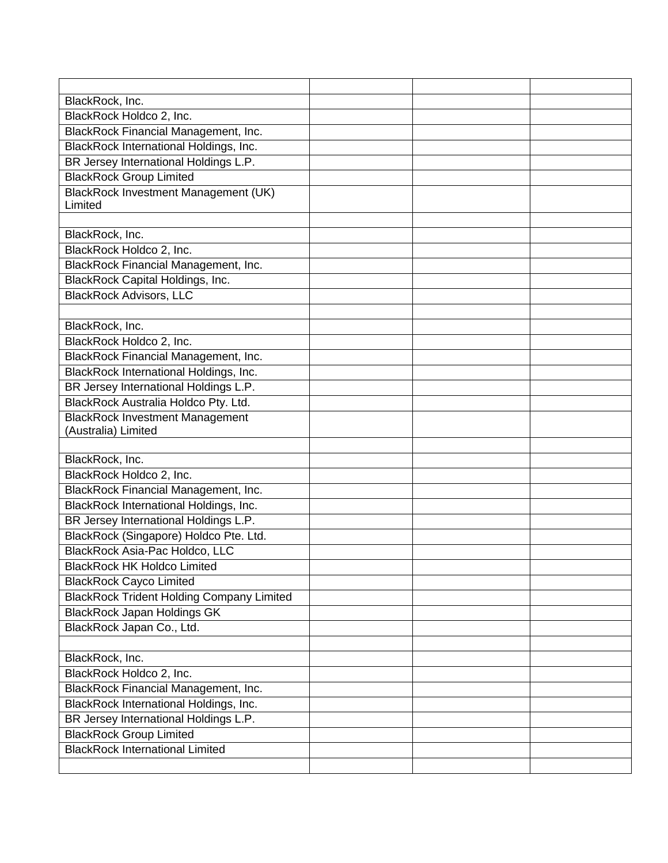| BlackRock, Inc.                                  |  |  |
|--------------------------------------------------|--|--|
| BlackRock Holdco 2, Inc.                         |  |  |
| BlackRock Financial Management, Inc.             |  |  |
| BlackRock International Holdings, Inc.           |  |  |
| BR Jersey International Holdings L.P.            |  |  |
| <b>BlackRock Group Limited</b>                   |  |  |
| <b>BlackRock Investment Management (UK)</b>      |  |  |
| Limited                                          |  |  |
|                                                  |  |  |
| BlackRock, Inc.                                  |  |  |
| BlackRock Holdco 2, Inc.                         |  |  |
| <b>BlackRock Financial Management, Inc.</b>      |  |  |
| BlackRock Capital Holdings, Inc.                 |  |  |
| <b>BlackRock Advisors, LLC</b>                   |  |  |
|                                                  |  |  |
| BlackRock, Inc.                                  |  |  |
| BlackRock Holdco 2, Inc.                         |  |  |
| BlackRock Financial Management, Inc.             |  |  |
| BlackRock International Holdings, Inc.           |  |  |
| BR Jersey International Holdings L.P.            |  |  |
| BlackRock Australia Holdco Pty. Ltd.             |  |  |
| <b>BlackRock Investment Management</b>           |  |  |
| (Australia) Limited                              |  |  |
|                                                  |  |  |
| BlackRock, Inc.                                  |  |  |
| BlackRock Holdco 2, Inc.                         |  |  |
| BlackRock Financial Management, Inc.             |  |  |
| BlackRock International Holdings, Inc.           |  |  |
| BR Jersey International Holdings L.P.            |  |  |
| BlackRock (Singapore) Holdco Pte. Ltd.           |  |  |
| BlackRock Asia-Pac Holdco, LLC                   |  |  |
| <b>BlackRock HK Holdco Limited</b>               |  |  |
| <b>BlackRock Cayco Limited</b>                   |  |  |
| <b>BlackRock Trident Holding Company Limited</b> |  |  |
| <b>BlackRock Japan Holdings GK</b>               |  |  |
| BlackRock Japan Co., Ltd.                        |  |  |
|                                                  |  |  |
| BlackRock, Inc.                                  |  |  |
| BlackRock Holdco 2, Inc.                         |  |  |
| BlackRock Financial Management, Inc.             |  |  |
| BlackRock International Holdings, Inc.           |  |  |
| BR Jersey International Holdings L.P.            |  |  |
| <b>BlackRock Group Limited</b>                   |  |  |
| <b>BlackRock International Limited</b>           |  |  |
|                                                  |  |  |